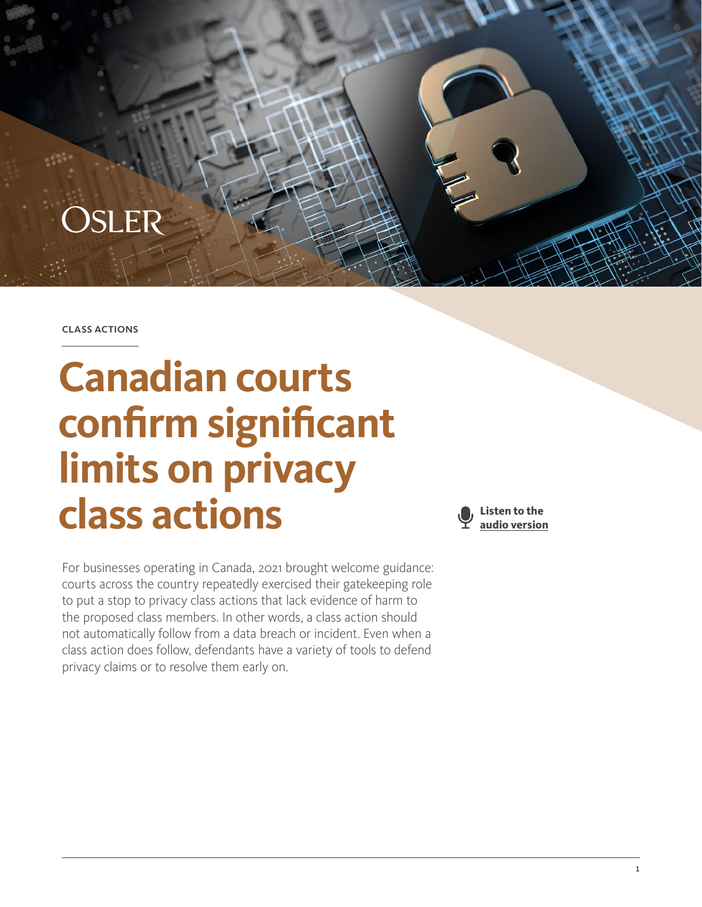

class actions

# **Canadian courts confirm significant limits on privacy class actions**

For businesses operating in Canada, 2021 brought welcome guidance: courts across the country repeatedly exercised their gatekeeping role to put a stop to privacy class actions that lack evidence of harm to the proposed class members. In other words, a class action should not automatically follow from a data breach or incident. Even when a class action does follow, defendants have a variety of tools to defend privacy claims or to resolve them early on.

**Listen to the audio version**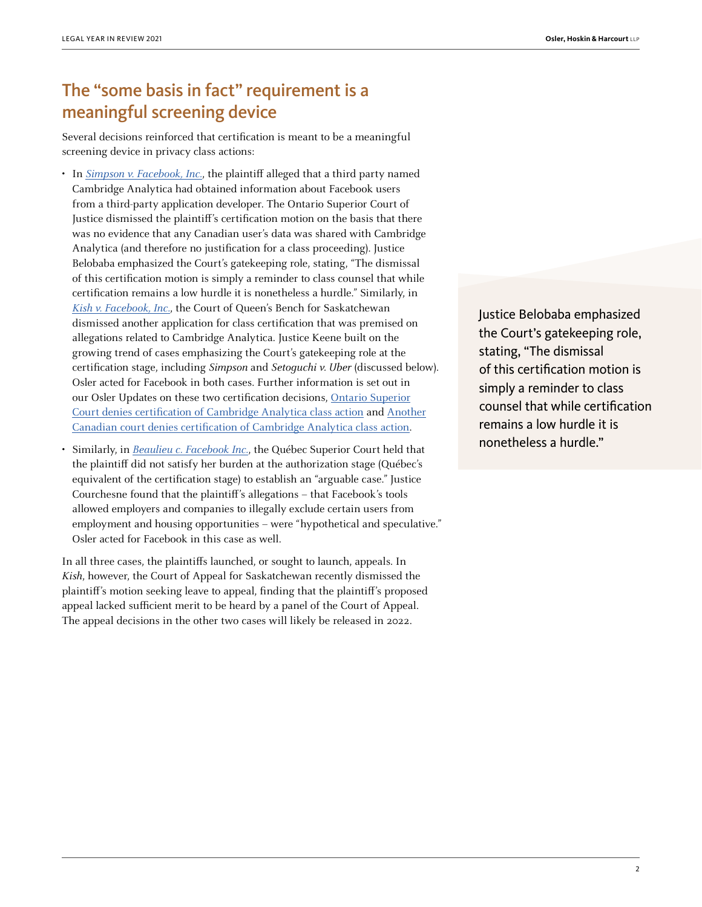## The "some basis in fact" requirement is a meaningful screening device

Several decisions reinforced that certification is meant to be a meaningful screening device in privacy class actions:

- In [Simpson v. Facebook, Inc.](https://www.canlii.org/en/on/onsc/doc/2021/2021onsc968/2021onsc968.html), the plaintiff alleged that a third party named Cambridge Analytica had obtained information about Facebook users from a third-party application developer. The Ontario Superior Court of Justice dismissed the plaintiff's certification motion on the basis that there was no evidence that any Canadian user's data was shared with Cambridge Analytica (and therefore no justification for a class proceeding). Justice Belobaba emphasized the Court's gatekeeping role, stating, "The dismissal of this certification motion is simply a reminder to class counsel that while certification remains a low hurdle it is nonetheless a hurdle." Similarly, in [Kish v. Facebook, Inc.](https://www.canlii.org/en/sk/skqb/doc/2021/2021skqb198/2021skqb198.html), the Court of Queen's Bench for Saskatchewan dismissed another application for class certification that was premised on allegations related to Cambridge Analytica. Justice Keene built on the growing trend of cases emphasizing the Court's gatekeeping role at the certification stage, including Simpson and Setoguchi v. Uber (discussed below). Osler acted for Facebook in both cases. Further information is set out in our Osler Updates on these two certification decisions, [Ontario Superior](https://www.osler.com/en/resources/critical-situations/2021/ontario-superior-court-denies-certification-of-cambridge-analytica-class-action) [Court denies certification of Cambridge Analytica class action](https://www.osler.com/en/resources/critical-situations/2021/ontario-superior-court-denies-certification-of-cambridge-analytica-class-action) and [Another](https://www.osler.com/en/resources/regulations/2021/another-canadian-court-denies-certification-of-cambridge-analytica-class-action) [Canadian court denies certification of Cambridge Analytica class action](https://www.osler.com/en/resources/regulations/2021/another-canadian-court-denies-certification-of-cambridge-analytica-class-action).
- Similarly, in [Beaulieu c. Facebook Inc.](https://www.canlii.org/en/qc/qccs/doc/2021/2021qccs3206/2021qccs3206.html), the Québec Superior Court held that the plaintiff did not satisfy her burden at the authorization stage (Québec's equivalent of the certification stage) to establish an "arguable case." Justice Courchesne found that the plaintiff's allegations – that Facebook's tools allowed employers and companies to illegally exclude certain users from employment and housing opportunities – were "hypothetical and speculative." Osler acted for Facebook in this case as well.

In all three cases, the plaintiffs launched, or sought to launch, appeals. In Kish, however, the Court of Appeal for Saskatchewan recently dismissed the plaintiff's motion seeking leave to appeal, finding that the plaintiff's proposed appeal lacked sufficient merit to be heard by a panel of the Court of Appeal. The appeal decisions in the other two cases will likely be released in 2022.

Justice Belobaba emphasized the Court's gatekeeping role, stating, "The dismissal of this certification motion is simply a reminder to class counsel that while certification remains a low hurdle it is nonetheless a hurdle."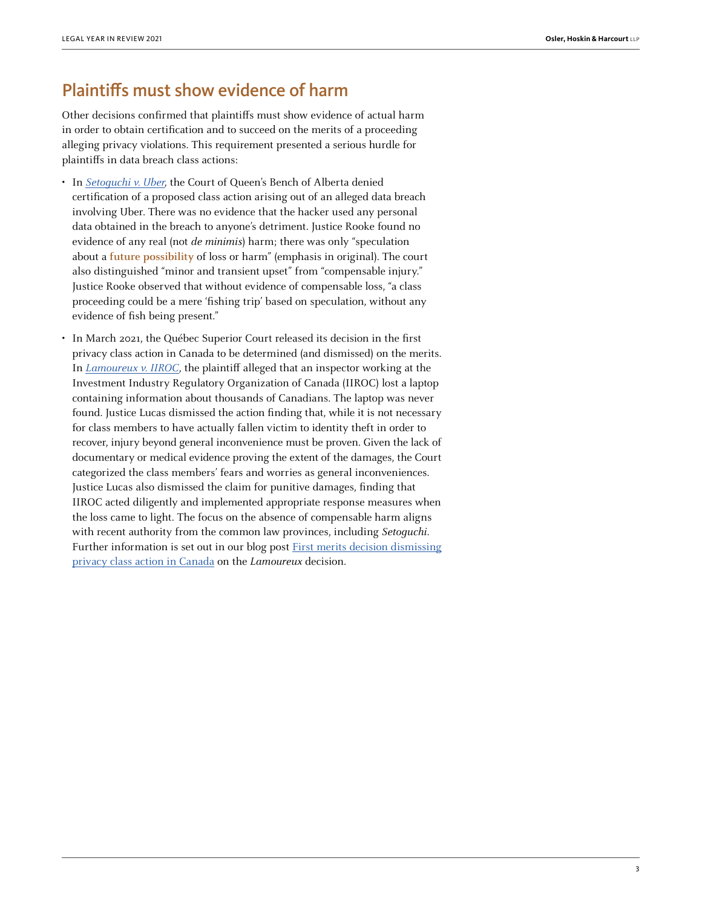#### Plaintiffs must show evidence of harm

Other decisions confirmed that plaintiffs must show evidence of actual harm in order to obtain certification and to succeed on the merits of a proceeding alleging privacy violations. This requirement presented a serious hurdle for plaintiffs in data breach class actions:

- In [Setoguchi v. Uber](https://www.canlii.org/en/ab/abqb/doc/2021/2021abqb18/2021abqb18.html?autocompleteStr=setoguchi%20&autocompletePos=1), the Court of Queen's Bench of Alberta denied certification of a proposed class action arising out of an alleged data breach involving Uber. There was no evidence that the hacker used any personal data obtained in the breach to anyone's detriment. Justice Rooke found no evidence of any real (not de minimis) harm; there was only "speculation about a **future possibility** of loss or harm" (emphasis in original). The court also distinguished "minor and transient upset" from "compensable injury." Justice Rooke observed that without evidence of compensable loss, "a class proceeding could be a mere 'fishing trip' based on speculation, without any evidence of fish being present."
- In March 2021, the Québec Superior Court released its decision in the first privacy class action in Canada to be determined (and dismissed) on the merits. In [Lamoureux v. IIROC](https://www.canlii.org/fr/qc/qccs/doc/2021/2021qccs1093/2021qccs1093.html), the plaintiff alleged that an inspector working at the Investment Industry Regulatory Organization of Canada (IIROC) lost a laptop containing information about thousands of Canadians. The laptop was never found. Justice Lucas dismissed the action finding that, while it is not necessary for class members to have actually fallen victim to identity theft in order to recover, injury beyond general inconvenience must be proven. Given the lack of documentary or medical evidence proving the extent of the damages, the Court categorized the class members' fears and worries as general inconveniences. Justice Lucas also dismissed the claim for punitive damages, finding that IIROC acted diligently and implemented appropriate response measures when the loss came to light. The focus on the absence of compensable harm aligns with recent authority from the common law provinces, including Setoquchi. Further information is set out in our blog post **First merits decision dismissing** [privacy class action in Canada](https://www.osler.com/en/blogs/classactions/april-2021/first-merits-decision-dismissing-privacy-class-action-in-canada) on the Lamoureux decision.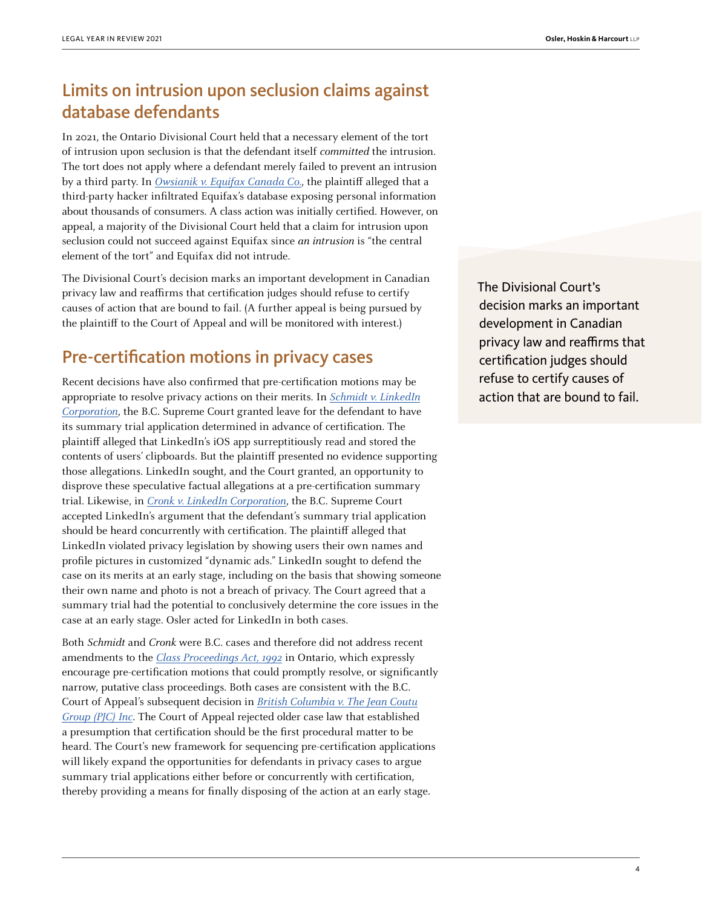# Limits on intrusion upon seclusion claims against database defendants

In 2021, the Ontario Divisional Court held that a necessary element of the tort of intrusion upon seclusion is that the defendant itself committed the intrusion. The tort does not apply where a defendant merely failed to prevent an intrusion by a third party. In [Owsianik v. Equifax Canada Co.](https://www.canlii.org/en/on/onscdc/doc/2021/2021onsc4112/2021onsc4112.html?autocompleteStr=owsian&autocompletePos=3), the plaintiff alleged that a third-party hacker infiltrated Equifax's database exposing personal information about thousands of consumers. A class action was initially certified. However, on appeal, a majority of the Divisional Court held that a claim for intrusion upon seclusion could not succeed against Equifax since an intrusion is "the central element of the tort" and Equifax did not intrude.

The Divisional Court's decision marks an important development in Canadian privacy law and reaffirms that certification judges should refuse to certify causes of action that are bound to fail. (A further appeal is being pursued by the plaintiff to the Court of Appeal and will be monitored with interest.)

## Pre-certification motions in privacy cases

Recent decisions have also confirmed that pre-certification motions may be appropriate to resolve privacy actions on their merits. In *[Schmidt v. LinkedIn](https://canlii.ca/t/jfk2c)* [Corporation](https://canlii.ca/t/jfk2c), the B.C. Supreme Court granted leave for the defendant to have its summary trial application determined in advance of certification. The plaintiff alleged that LinkedIn's iOS app surreptitiously read and stored the contents of users' clipboards. But the plaintiff presented no evidence supporting those allegations. LinkedIn sought, and the Court granted, an opportunity to disprove these speculative factual allegations at a pre-certification summary trial. Likewise, in [Cronk v. LinkedIn Corporation](https://canlii.ca/t/jfk2b), the B.C. Supreme Court accepted LinkedIn's argument that the defendant's summary trial application should be heard concurrently with certification. The plaintiff alleged that LinkedIn violated privacy legislation by showing users their own names and profile pictures in customized "dynamic ads." LinkedIn sought to defend the case on its merits at an early stage, including on the basis that showing someone their own name and photo is not a breach of privacy. The Court agreed that a summary trial had the potential to conclusively determine the core issues in the case at an early stage. Osler acted for LinkedIn in both cases.

Both Schmidt and Cronk were B.C. cases and therefore did not address recent amendments to the [Class Proceedings Act, 1992](https://www.ontario.ca/laws/statute/92c06) in Ontario, which expressly encourage pre-certification motions that could promptly resolve, or significantly narrow, putative class proceedings. Both cases are consistent with the B.C. Court of Appeal's subsequent decision in **[British Columbia v. The Jean Coutu](https://www.canlii.org/en/bc/bcca/doc/2021/2021bcca219/2021bcca219.html)** [Group \(PJC\) Inc](https://www.canlii.org/en/bc/bcca/doc/2021/2021bcca219/2021bcca219.html). The Court of Appeal rejected older case law that established a presumption that certification should be the first procedural matter to be heard. The Court's new framework for sequencing pre-certification applications will likely expand the opportunities for defendants in privacy cases to argue summary trial applications either before or concurrently with certification, thereby providing a means for finally disposing of the action at an early stage.

The Divisional Court's decision marks an important development in Canadian privacy law and reaffirms that certification judges should refuse to certify causes of action that are bound to fail.